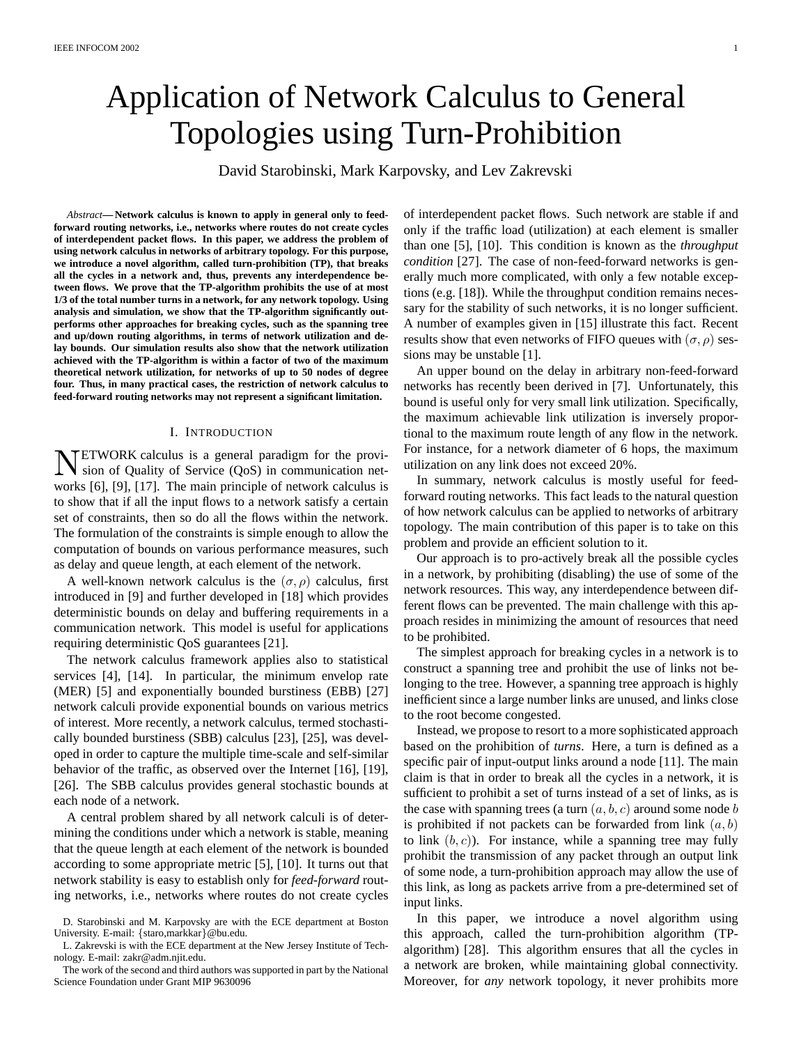# Application of Network Calculus to General Topologies using Turn-Prohibition

David Starobinski, Mark Karpovsky, and Lev Zakrevski

*Abstract***— Network calculus is known to apply in general only to feedforward routing networks, i.e., networks where routes do not create cycles of interdependent packet flows. In this paper, we address the problem of using network calculus in networks of arbitrary topology. For this purpose, we introduce a novel algorithm, called turn-prohibition (TP), that breaks all the cycles in a network and, thus, prevents any interdependence between flows. We prove that the TP-algorithm prohibits the use of at most 1/3 of the total number turns in a network, for any network topology. Using analysis and simulation, we show that the TP-algorithm significantly outperforms other approaches for breaking cycles, such as the spanning tree and up/down routing algorithms, in terms of network utilization and delay bounds. Our simulation results also show that the network utilization achieved with the TP-algorithm is within a factor of two of the maximum theoretical network utilization, for networks of up to 50 nodes of degree four. Thus, in many practical cases, the restriction of network calculus to feed-forward routing networks may not represent a significant limitation.**

### I. INTRODUCTION

NETWORK calculus is a general paradigm for the provi-sion of Quality of Service (QoS) in communication networks [6], [9], [17]. The main principle of network calculus is to show that if all the input flows to a network satisfy a certain set of constraints, then so do all the flows within the network. The formulation of the constraints is simple enough to allow the computation of bounds on various performance measures, such as delay and queue length, at each element of the network.

A well-known network calculus is the  $(\sigma, \rho)$  calculus, first introduced in [9] and further developed in [18] which provides deterministic bounds on delay and buffering requirements in a communication network. This model is useful for applications requiring deterministic QoS guarantees [21].

The network calculus framework applies also to statistical services [4], [14]. In particular, the minimum envelop rate (MER) [5] and exponentially bounded burstiness (EBB) [27] network calculi provide exponential bounds on various metrics of interest. More recently, a network calculus, termed stochastically bounded burstiness (SBB) calculus [23], [25], was developed in order to capture the multiple time-scale and self-similar behavior of the traffic, as observed over the Internet [16], [19], [26]. The SBB calculus provides general stochastic bounds at each node of a network.

A central problem shared by all network calculi is of determining the conditions under which a network is stable, meaning that the queue length at each element of the network is bounded according to some appropriate metric [5], [10]. It turns out that network stability is easy to establish only for *feed-forward* routing networks, i.e., networks where routes do not create cycles

L. Zakrevski is with the ECE department at the New Jersey Institute of Technology. E-mail: zakr@adm.njit.edu.

The work of the second and third authors was supported in part by the National Science Foundation under Grant MIP 9630096

of interdependent packet flows. Such network are stable if and only if the traffic load (utilization) at each element is smaller than one [5], [10]. This condition is known as the *throughput condition* [27]. The case of non-feed-forward networks is generally much more complicated, with only a few notable exceptions (e.g. [18]). While the throughput condition remains necessary for the stability of such networks, it is no longer sufficient. A number of examples given in [15] illustrate this fact. Recent results show that even networks of FIFO queues with  $(\sigma, \rho)$  sessions may be unstable [1].

An upper bound on the delay in arbitrary non-feed-forward networks has recently been derived in [7]. Unfortunately, this bound is useful only for very small link utilization. Specifically, the maximum achievable link utilization is inversely proportional to the maximum route length of any flow in the network. For instance, for a network diameter of 6 hops, the maximum utilization on any link does not exceed 20%.

In summary, network calculus is mostly useful for feedforward routing networks. This fact leads to the natural question of how network calculus can be applied to networks of arbitrary topology. The main contribution of this paper is to take on this problem and provide an efficient solution to it.

Our approach is to pro-actively break all the possible cycles in a network, by prohibiting (disabling) the use of some of the network resources. This way, any interdependence between different flows can be prevented. The main challenge with this approach resides in minimizing the amount of resources that need to be prohibited.

The simplest approach for breaking cycles in a network is to construct a spanning tree and prohibit the use of links not belonging to the tree. However, a spanning tree approach is highly inefficient since a large number links are unused, and links close to the root become congested.

Instead, we propose to resort to a more sophisticated approach based on the prohibition of *turns*. Here, a turn is defined as a specific pair of input-output links around a node [11]. The main claim is that in order to break all the cycles in a network, it is sufficient to prohibit a set of turns instead of a set of links, as is the case with spanning trees (a turn  $(a, b, c)$  around some node b is prohibited if not packets can be forwarded from link  $(a, b)$ to link  $(b, c)$ ). For instance, while a spanning tree may fully prohibit the transmission of any packet through an output link of some node, a turn-prohibition approach may allow the use of this link, as long as packets arrive from a pre-determined set of input links.

In this paper, we introduce a novel algorithm using this approach, called the turn-prohibition algorithm (TPalgorithm) [28]. This algorithm ensures that all the cycles in a network are broken, while maintaining global connectivity. Moreover, for *any* network topology, it never prohibits more

D. Starobinski and M. Karpovsky are with the ECE department at Boston University. E-mail: *{*staro,markkar*}*@bu.edu.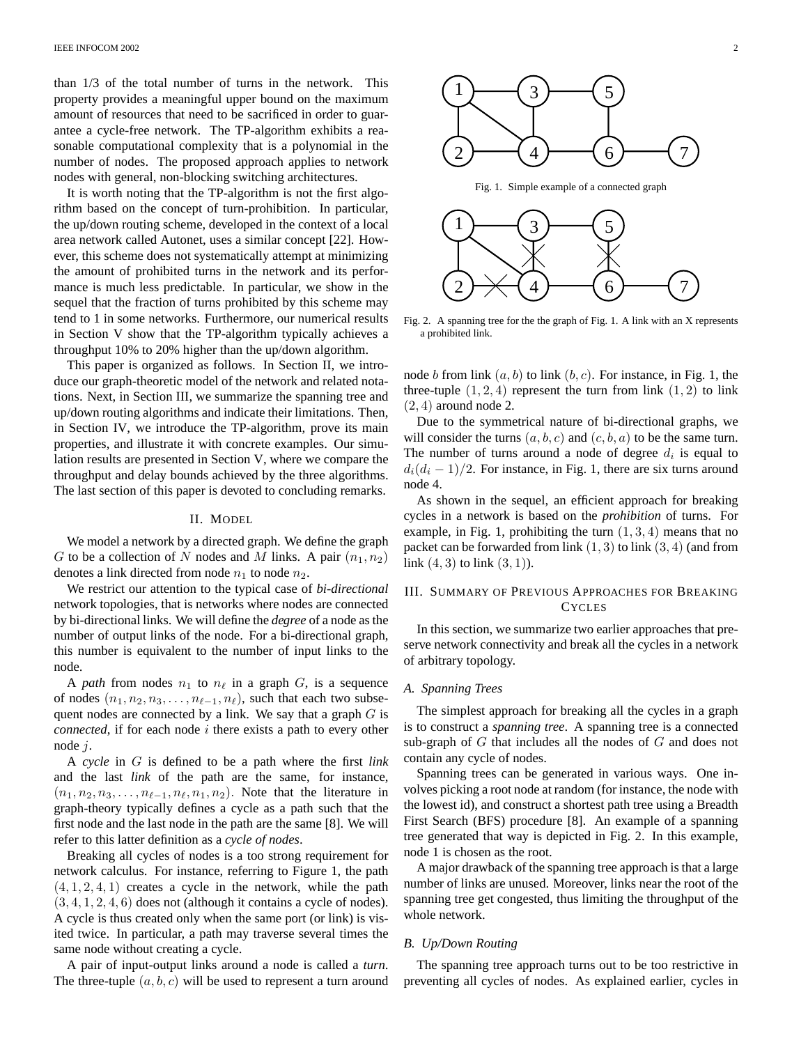than 1/3 of the total number of turns in the network. This property provides a meaningful upper bound on the maximum amount of resources that need to be sacrificed in order to guarantee a cycle-free network. The TP-algorithm exhibits a reasonable computational complexity that is a polynomial in the number of nodes. The proposed approach applies to network nodes with general, non-blocking switching architectures.

It is worth noting that the TP-algorithm is not the first algorithm based on the concept of turn-prohibition. In particular, the up/down routing scheme, developed in the context of a local area network called Autonet, uses a similar concept [22]. However, this scheme does not systematically attempt at minimizing the amount of prohibited turns in the network and its performance is much less predictable. In particular, we show in the sequel that the fraction of turns prohibited by this scheme may tend to 1 in some networks. Furthermore, our numerical results in Section V show that the TP-algorithm typically achieves a throughput 10% to 20% higher than the up/down algorithm.

This paper is organized as follows. In Section II, we introduce our graph-theoretic model of the network and related notations. Next, in Section III, we summarize the spanning tree and up/down routing algorithms and indicate their limitations. Then, in Section IV, we introduce the TP-algorithm, prove its main properties, and illustrate it with concrete examples. Our simulation results are presented in Section V, where we compare the throughput and delay bounds achieved by the three algorithms. The last section of this paper is devoted to concluding remarks.

### II. MODEL

We model a network by a directed graph. We define the graph G to be a collection of N nodes and M links. A pair  $(n_1, n_2)$ denotes a link directed from node  $n_1$  to node  $n_2$ .

We restrict our attention to the typical case of *bi-directional* network topologies, that is networks where nodes are connected by bi-directional links. We will define the *degree* of a node as the number of output links of the node. For a bi-directional graph, this number is equivalent to the number of input links to the node.

A *path* from nodes  $n_1$  to  $n_\ell$  in a graph G, is a sequence of nodes  $(n_1, n_2, n_3, \ldots, n_{\ell-1}, n_{\ell})$ , such that each two subsequent nodes are connected by a link. We say that a graph  $G$  is *connected*, if for each node i there exists a path to every other node j.

A *cycle* in G is defined to be a path where the first *link* and the last *link* of the path are the same, for instance,  $(n_1, n_2, n_3, \ldots, n_{\ell-1}, n_{\ell}, n_1, n_2)$ . Note that the literature in graph-theory typically defines a cycle as a path such that the first node and the last node in the path are the same [8]. We will refer to this latter definition as a *cycle of nodes*.

Breaking all cycles of nodes is a too strong requirement for network calculus. For instance, referring to Figure 1, the path  $(4, 1, 2, 4, 1)$  creates a cycle in the network, while the path  $(3, 4, 1, 2, 4, 6)$  does not (although it contains a cycle of nodes). A cycle is thus created only when the same port (or link) is visited twice. In particular, a path may traverse several times the same node without creating a cycle.

A pair of input-output links around a node is called a *turn*. The three-tuple  $(a, b, c)$  will be used to represent a turn around



Fig. 1. Simple example of a connected graph



Fig. 2. A spanning tree for the the graph of Fig. 1. A link with an X represents a prohibited link.

node b from link  $(a, b)$  to link  $(b, c)$ . For instance, in Fig. 1, the three-tuple  $(1, 2, 4)$  represent the turn from link  $(1, 2)$  to link  $(2, 4)$  around node 2.

Due to the symmetrical nature of bi-directional graphs, we will consider the turns  $(a, b, c)$  and  $(c, b, a)$  to be the same turn. The number of turns around a node of degree  $d_i$  is equal to  $d_i(d_i - 1)/2$ . For instance, in Fig. 1, there are six turns around node 4.

As shown in the sequel, an efficient approach for breaking cycles in a network is based on the *prohibition* of turns. For example, in Fig. 1, prohibiting the turn  $(1, 3, 4)$  means that no packet can be forwarded from link  $(1, 3)$  to link  $(3, 4)$  (and from link  $(4, 3)$  to link  $(3, 1)$ ).

# III. SUMMARY OF PREVIOUS APPROACHES FOR BREAKING **CYCLES**

In this section, we summarize two earlier approaches that preserve network connectivity and break all the cycles in a network of arbitrary topology.

# *A. Spanning Trees*

The simplest approach for breaking all the cycles in a graph is to construct a *spanning tree*. A spanning tree is a connected sub-graph of  $G$  that includes all the nodes of  $G$  and does not contain any cycle of nodes.

Spanning trees can be generated in various ways. One involves picking a root node at random (for instance, the node with the lowest id), and construct a shortest path tree using a Breadth First Search (BFS) procedure [8]. An example of a spanning tree generated that way is depicted in Fig. 2. In this example, node 1 is chosen as the root.

A major drawback of the spanning tree approach is that a large number of links are unused. Moreover, links near the root of the spanning tree get congested, thus limiting the throughput of the whole network.

# *B. Up/Down Routing*

The spanning tree approach turns out to be too restrictive in preventing all cycles of nodes. As explained earlier, cycles in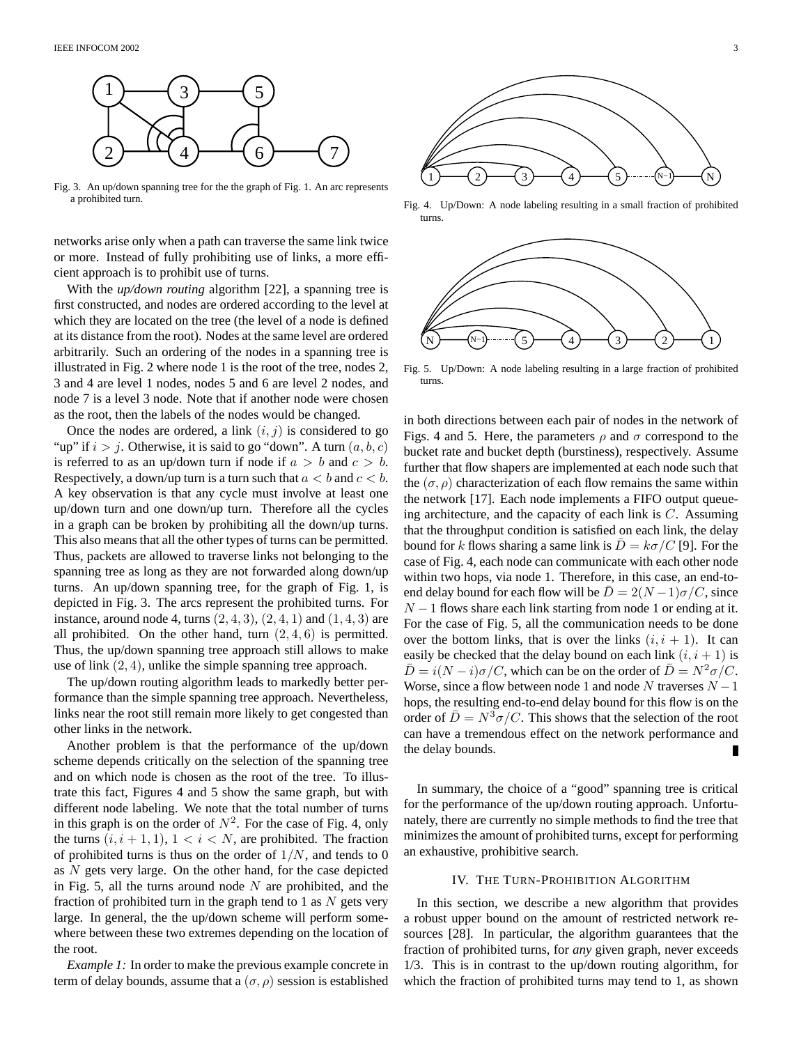

Fig. 3. An up/down spanning tree for the the graph of Fig. 1. An arc represents a prohibited turn.

networks arise only when a path can traverse the same link twice or more. Instead of fully prohibiting use of links, a more efficient approach is to prohibit use of turns.

With the *up/down routing* algorithm [22], a spanning tree is first constructed, and nodes are ordered according to the level at which they are located on the tree (the level of a node is defined at its distance from the root). Nodes at the same level are ordered arbitrarily. Such an ordering of the nodes in a spanning tree is illustrated in Fig. 2 where node 1 is the root of the tree, nodes 2, 3 and 4 are level 1 nodes, nodes 5 and 6 are level 2 nodes, and node 7 is a level 3 node. Note that if another node were chosen as the root, then the labels of the nodes would be changed.

Once the nodes are ordered, a link  $(i, j)$  is considered to go "up" if  $i > j$ . Otherwise, it is said to go "down". A turn  $(a, b, c)$ is referred to as an up/down turn if node if  $a > b$  and  $c > b$ . Respectively, a down/up turn is a turn such that  $a < b$  and  $c < b$ . A key observation is that any cycle must involve at least one up/down turn and one down/up turn. Therefore all the cycles in a graph can be broken by prohibiting all the down/up turns. This also means that all the other types of turns can be permitted. Thus, packets are allowed to traverse links not belonging to the spanning tree as long as they are not forwarded along down/up turns. An up/down spanning tree, for the graph of Fig. 1, is depicted in Fig. 3. The arcs represent the prohibited turns. For instance, around node 4, turns  $(2, 4, 3)$ ,  $(2, 4, 1)$  and  $(1, 4, 3)$  are all prohibited. On the other hand, turn  $(2, 4, 6)$  is permitted. Thus, the up/down spanning tree approach still allows to make use of link (2, 4), unlike the simple spanning tree approach.

The up/down routing algorithm leads to markedly better performance than the simple spanning tree approach. Nevertheless, links near the root still remain more likely to get congested than other links in the network.

Another problem is that the performance of the up/down scheme depends critically on the selection of the spanning tree and on which node is chosen as the root of the tree. To illustrate this fact, Figures 4 and 5 show the same graph, but with different node labeling. We note that the total number of turns in this graph is on the order of  $N^2$ . For the case of Fig. 4, only the turns  $(i, i + 1, 1), 1 < i < N$ , are prohibited. The fraction of prohibited turns is thus on the order of  $1/N$ , and tends to 0 as N gets very large. On the other hand, for the case depicted in Fig. 5, all the turns around node  $N$  are prohibited, and the fraction of prohibited turn in the graph tend to 1 as  $N$  gets very large. In general, the the up/down scheme will perform somewhere between these two extremes depending on the location of the root.

*Example 1:* In order to make the previous example concrete in term of delay bounds, assume that a  $(\sigma, \rho)$  session is established



Fig. 4. Up/Down: A node labeling resulting in a small fraction of prohibited turns.



Fig. 5. Up/Down: A node labeling resulting in a large fraction of prohibited turns.

in both directions between each pair of nodes in the network of Figs. 4 and 5. Here, the parameters  $\rho$  and  $\sigma$  correspond to the bucket rate and bucket depth (burstiness), respectively. Assume further that flow shapers are implemented at each node such that the  $(\sigma, \rho)$  characterization of each flow remains the same within the network [17]. Each node implements a FIFO output queueing architecture, and the capacity of each link is  $C$ . Assuming that the throughput condition is satisfied on each link, the delay bound for k flows sharing a same link is  $\overline{D} = k\sigma/C$  [9]. For the case of Fig. 4, each node can communicate with each other node within two hops, via node 1. Therefore, in this case, an end-toend delay bound for each flow will be  $\overline{D} = 2(N-1)\sigma/C$ , since  $N-1$  flows share each link starting from node 1 or ending at it. For the case of Fig. 5, all the communication needs to be done over the bottom links, that is over the links  $(i, i + 1)$ . It can easily be checked that the delay bound on each link  $(i, i + 1)$  is  $D = i(N - i)\sigma/C$ , which can be on the order of  $D = N^2 \sigma/C$ . Worse, since a flow between node 1 and node N traverses  $N - 1$ hops, the resulting end-to-end delay bound for this flow is on the order of  $\bar{D} = N^3 \sigma / C$ . This shows that the selection of the root can have a tremendous effect on the network performance and the delay bounds. Г

In summary, the choice of a "good" spanning tree is critical for the performance of the up/down routing approach. Unfortunately, there are currently no simple methods to find the tree that minimizes the amount of prohibited turns, except for performing an exhaustive, prohibitive search.

## IV. THE TURN-PROHIBITION ALGORITHM

In this section, we describe a new algorithm that provides a robust upper bound on the amount of restricted network resources [28]. In particular, the algorithm guarantees that the fraction of prohibited turns, for *any* given graph, never exceeds 1/3. This is in contrast to the up/down routing algorithm, for which the fraction of prohibited turns may tend to 1, as shown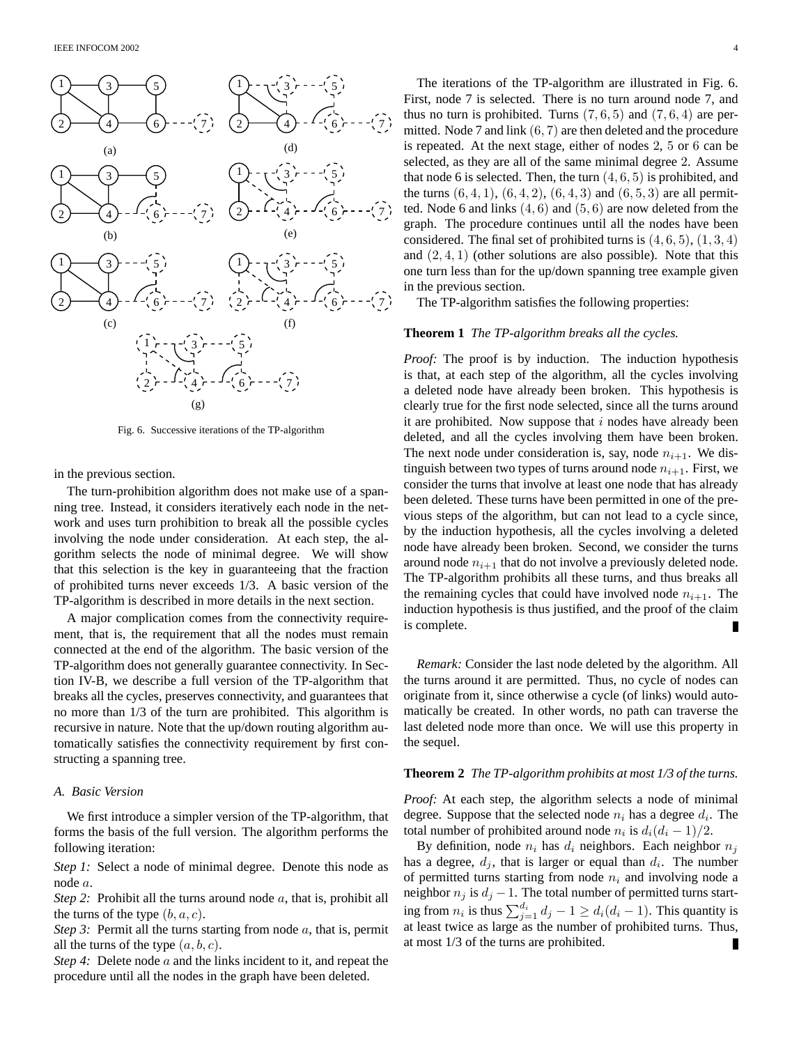

Fig. 6. Successive iterations of the TP-algorithm

in the previous section.

The turn-prohibition algorithm does not make use of a spanning tree. Instead, it considers iteratively each node in the network and uses turn prohibition to break all the possible cycles involving the node under consideration. At each step, the algorithm selects the node of minimal degree. We will show that this selection is the key in guaranteeing that the fraction of prohibited turns never exceeds 1/3. A basic version of the TP-algorithm is described in more details in the next section.

A major complication comes from the connectivity requirement, that is, the requirement that all the nodes must remain connected at the end of the algorithm. The basic version of the TP-algorithm does not generally guarantee connectivity. In Section IV-B, we describe a full version of the TP-algorithm that breaks all the cycles, preserves connectivity, and guarantees that no more than 1/3 of the turn are prohibited. This algorithm is recursive in nature. Note that the up/down routing algorithm automatically satisfies the connectivity requirement by first constructing a spanning tree.

### *A. Basic Version*

We first introduce a simpler version of the TP-algorithm, that forms the basis of the full version. The algorithm performs the following iteration:

*Step 1:* Select a node of minimal degree. Denote this node as node a.

*Step 2:* Prohibit all the turns around node a, that is, prohibit all the turns of the type  $(b, a, c)$ .

*Step 3:* Permit all the turns starting from node a, that is, permit all the turns of the type  $(a, b, c)$ .

*Step 4:* Delete node a and the links incident to it, and repeat the procedure until all the nodes in the graph have been deleted.

The iterations of the TP-algorithm are illustrated in Fig. 6. First, node 7 is selected. There is no turn around node 7, and thus no turn is prohibited. Turns  $(7, 6, 5)$  and  $(7, 6, 4)$  are permitted. Node 7 and link (6, 7) are then deleted and the procedure is repeated. At the next stage, either of nodes 2, 5 or 6 can be selected, as they are all of the same minimal degree 2. Assume that node 6 is selected. Then, the turn  $(4, 6, 5)$  is prohibited, and the turns  $(6, 4, 1)$ ,  $(6, 4, 2)$ ,  $(6, 4, 3)$  and  $(6, 5, 3)$  are all permitted. Node 6 and links  $(4, 6)$  and  $(5, 6)$  are now deleted from the graph. The procedure continues until all the nodes have been considered. The final set of prohibited turns is  $(4, 6, 5)$ ,  $(1, 3, 4)$ and  $(2, 4, 1)$  (other solutions are also possible). Note that this one turn less than for the up/down spanning tree example given in the previous section.

The TP-algorithm satisfies the following properties:

# **Theorem 1** *The TP-algorithm breaks all the cycles.*

*Proof:* The proof is by induction. The induction hypothesis is that, at each step of the algorithm, all the cycles involving a deleted node have already been broken. This hypothesis is clearly true for the first node selected, since all the turns around it are prohibited. Now suppose that  $i$  nodes have already been deleted, and all the cycles involving them have been broken. The next node under consideration is, say, node  $n_{i+1}$ . We distinguish between two types of turns around node  $n_{i+1}$ . First, we consider the turns that involve at least one node that has already been deleted. These turns have been permitted in one of the previous steps of the algorithm, but can not lead to a cycle since, by the induction hypothesis, all the cycles involving a deleted node have already been broken. Second, we consider the turns around node  $n_{i+1}$  that do not involve a previously deleted node. The TP-algorithm prohibits all these turns, and thus breaks all the remaining cycles that could have involved node  $n_{i+1}$ . The induction hypothesis is thus justified, and the proof of the claim is complete.

*Remark:* Consider the last node deleted by the algorithm. All the turns around it are permitted. Thus, no cycle of nodes can originate from it, since otherwise a cycle (of links) would automatically be created. In other words, no path can traverse the last deleted node more than once. We will use this property in the sequel.

### **Theorem 2** *The TP-algorithm prohibits at most 1/3 of the turns.*

*Proof:* At each step, the algorithm selects a node of minimal degree. Suppose that the selected node  $n_i$  has a degree  $d_i$ . The total number of prohibited around node  $n_i$  is  $d_i(d_i - 1)/2$ .

By definition, node  $n_i$  has  $d_i$  neighbors. Each neighbor  $n_i$ has a degree,  $d_j$ , that is larger or equal than  $d_i$ . The number of permitted turns starting from node  $n_i$  and involving node a neighbor  $n_i$  is  $d_i - 1$ . The total number of permitted turns starting from  $n_i$  is thus  $\sum_{j=1}^{d_i} d_j - 1 \geq d_i(d_i - 1)$ . This quantity is at least twice as large as the number of prohibited turns. Thus, at most 1/3 of the turns are prohibited.П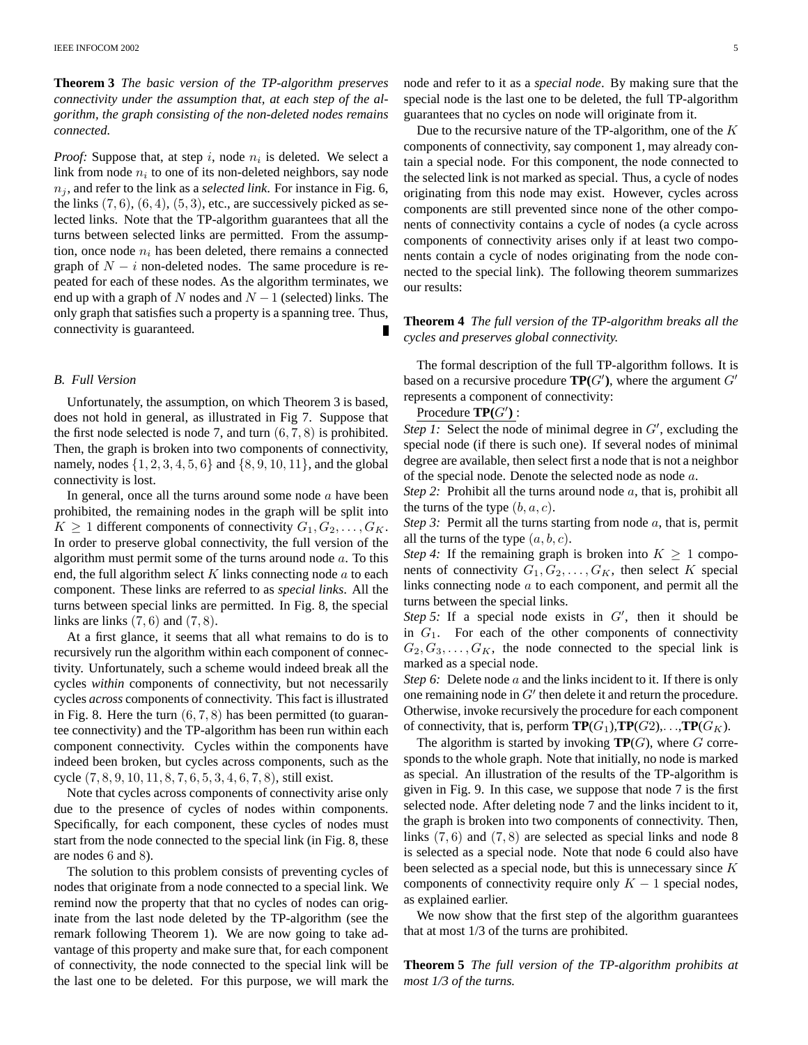**Theorem 3** *The basic version of the TP-algorithm preserves connectivity under the assumption that, at each step of the algorithm, the graph consisting of the non-deleted nodes remains connected.*

*Proof:* Suppose that, at step  $i$ , node  $n_i$  is deleted. We select a link from node  $n_i$  to one of its non-deleted neighbors, say node  $n_j$ , and refer to the link as a *selected link*. For instance in Fig. 6, the links  $(7, 6)$ ,  $(6, 4)$ ,  $(5, 3)$ , etc., are successively picked as selected links. Note that the TP-algorithm guarantees that all the turns between selected links are permitted. From the assumption, once node  $n_i$  has been deleted, there remains a connected graph of  $N - i$  non-deleted nodes. The same procedure is repeated for each of these nodes. As the algorithm terminates, we end up with a graph of N nodes and  $N - 1$  (selected) links. The only graph that satisfies such a property is a spanning tree. Thus, connectivity is guaranteed.

# *B. Full Version*

Unfortunately, the assumption, on which Theorem 3 is based, does not hold in general, as illustrated in Fig 7. Suppose that the first node selected is node 7, and turn  $(6, 7, 8)$  is prohibited. Then, the graph is broken into two components of connectivity, namely, nodes  $\{1, 2, 3, 4, 5, 6\}$  and  $\{8, 9, 10, 11\}$ , and the global connectivity is lost.

In general, once all the turns around some node  $\alpha$  have been prohibited, the remaining nodes in the graph will be split into  $K \geq 1$  different components of connectivity  $G_1, G_2, \ldots, G_K$ . In order to preserve global connectivity, the full version of the algorithm must permit some of the turns around node  $a$ . To this end, the full algorithm select  $K$  links connecting node  $a$  to each component. These links are referred to as *special links*. All the turns between special links are permitted. In Fig. 8, the special links are links  $(7, 6)$  and  $(7, 8)$ .

At a first glance, it seems that all what remains to do is to recursively run the algorithm within each component of connectivity. Unfortunately, such a scheme would indeed break all the cycles *within* components of connectivity, but not necessarily cycles *across* components of connectivity. This fact is illustrated in Fig. 8. Here the turn  $(6, 7, 8)$  has been permitted (to guarantee connectivity) and the TP-algorithm has been run within each component connectivity. Cycles within the components have indeed been broken, but cycles across components, such as the cycle (7, 8, 9, 10, 11, 8, 7, 6, 5, 3, 4, 6, 7, 8), still exist.

Note that cycles across components of connectivity arise only due to the presence of cycles of nodes within components. Specifically, for each component, these cycles of nodes must start from the node connected to the special link (in Fig. 8, these are nodes 6 and 8).

The solution to this problem consists of preventing cycles of nodes that originate from a node connected to a special link. We remind now the property that that no cycles of nodes can originate from the last node deleted by the TP-algorithm (see the remark following Theorem 1). We are now going to take advantage of this property and make sure that, for each component of connectivity, the node connected to the special link will be the last one to be deleted. For this purpose, we will mark the

Due to the recursive nature of the TP-algorithm, one of the  $K$ components of connectivity, say component 1, may already contain a special node. For this component, the node connected to the selected link is not marked as special. Thus, a cycle of nodes originating from this node may exist. However, cycles across components are still prevented since none of the other components of connectivity contains a cycle of nodes (a cycle across components of connectivity arises only if at least two components contain a cycle of nodes originating from the node connected to the special link). The following theorem summarizes our results:

**Theorem 4** *The full version of the TP-algorithm breaks all the cycles and preserves global connectivity.*

The formal description of the full TP-algorithm follows. It is based on a recursive procedure  $TP(G')$ , where the argument  $G'$ represents a component of connectivity:

# Procedure  $\mathbf{TP}(G')$ :

*Step 1:* Select the node of minimal degree in  $G'$ , excluding the special node (if there is such one). If several nodes of minimal degree are available, then select first a node that is not a neighbor of the special node. Denote the selected node as node a.

*Step 2:* Prohibit all the turns around node a, that is, prohibit all the turns of the type  $(b, a, c)$ .

*Step 3:* Permit all the turns starting from node a, that is, permit all the turns of the type  $(a, b, c)$ .

*Step 4:* If the remaining graph is broken into  $K \geq 1$  components of connectivity  $G_1, G_2, \ldots, G_K$ , then select K special links connecting node  $a$  to each component, and permit all the turns between the special links.

Step 5: If a special node exists in  $G'$ , then it should be in  $G_1$ . For each of the other components of connectivity  $G_2, G_3, \ldots, G_K$ , the node connected to the special link is marked as a special node.

*Step 6:* Delete node *a* and the links incident to it. If there is only one remaining node in  $G'$  then delete it and return the procedure. Otherwise, invoke recursively the procedure for each component of connectivity, that is, perform  $\mathbf{TP}(G_1), \mathbf{TP}(G_2), \dots, \mathbf{TP}(G_K)$ .

The algorithm is started by invoking  $TP(G)$ , where G corresponds to the whole graph. Note that initially, no node is marked as special. An illustration of the results of the TP-algorithm is given in Fig. 9. In this case, we suppose that node 7 is the first selected node. After deleting node 7 and the links incident to it, the graph is broken into two components of connectivity. Then, links  $(7, 6)$  and  $(7, 8)$  are selected as special links and node 8 is selected as a special node. Note that node 6 could also have been selected as a special node, but this is unnecessary since  $K$ components of connectivity require only  $K - 1$  special nodes, as explained earlier.

We now show that the first step of the algorithm guarantees that at most 1/3 of the turns are prohibited.

**Theorem 5** *The full version of the TP-algorithm prohibits at most 1/3 of the turns.*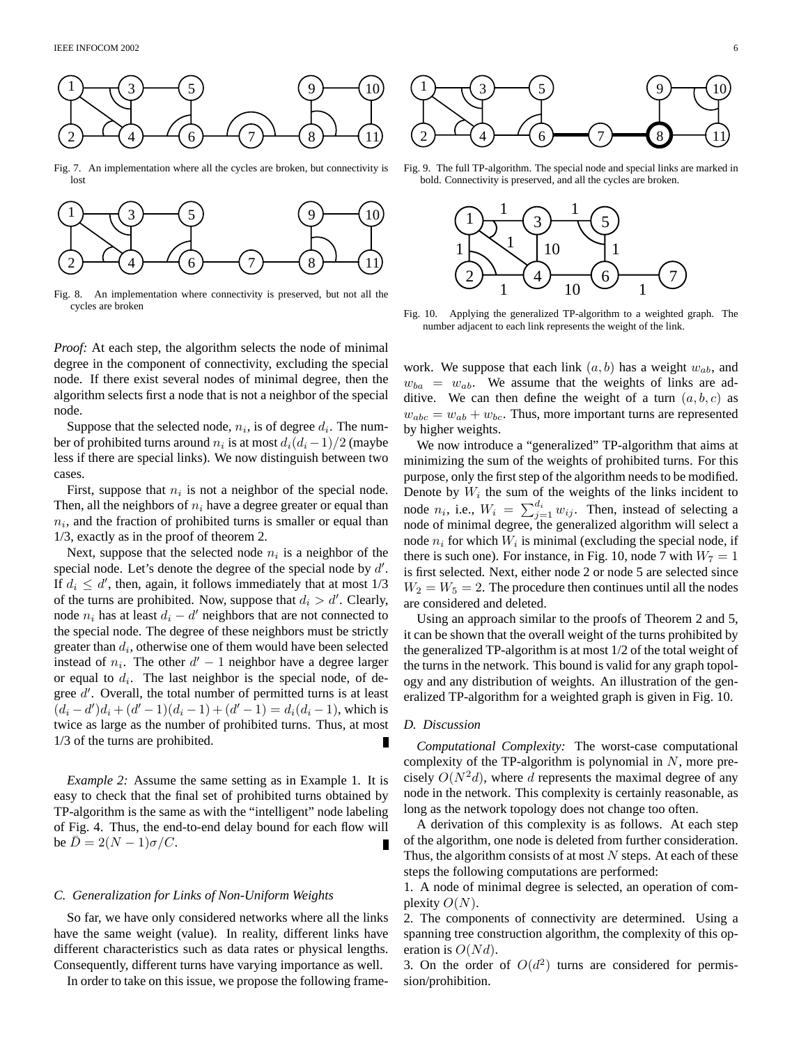

Fig. 7. An implementation where all the cycles are broken, but connectivity is lost



Fig. 8. An implementation where connectivity is preserved, but not all the cycles are broken

*Proof:* At each step, the algorithm selects the node of minimal degree in the component of connectivity, excluding the special node. If there exist several nodes of minimal degree, then the algorithm selects first a node that is not a neighbor of the special node.

Suppose that the selected node,  $n_i$ , is of degree  $d_i$ . The number of prohibited turns around  $n_i$  is at most  $d_i(d_i - 1)/2$  (maybe less if there are special links). We now distinguish between two cases.

First, suppose that  $n_i$  is not a neighbor of the special node. Then, all the neighbors of  $n_i$  have a degree greater or equal than  $n_i$ , and the fraction of prohibited turns is smaller or equal than 1/3, exactly as in the proof of theorem 2.

Next, suppose that the selected node  $n_i$  is a neighbor of the special node. Let's denote the degree of the special node by  $d'$ . If  $d_i \leq d'$ , then, again, it follows immediately that at most 1/3 of the turns are prohibited. Now, suppose that  $d_i > d'$ . Clearly, node  $n_i$  has at least  $d_i - d'$  neighbors that are not connected to the special node. The degree of these neighbors must be strictly greater than  $d_i$ , otherwise one of them would have been selected instead of  $n_i$ . The other  $d'-1$  neighbor have a degree larger or equal to  $d_i$ . The last neighbor is the special node, of degree  $d'$ . Overall, the total number of permitted turns is at least  $(d_i - d')d_i + (d'-1)(d_i - 1) + (d'-1) = d_i(d_i - 1)$ , which is twice as large as the number of prohibited turns. Thus, at most 1/3 of the turns are prohibited.

*Example 2:* Assume the same setting as in Example 1. It is easy to check that the final set of prohibited turns obtained by TP-algorithm is the same as with the "intelligent" node labeling of Fig. 4. Thus, the end-to-end delay bound for each flow will be  $\overline{D} = 2(N - 1)\sigma/C$ .

### *C. Generalization for Links of Non-Uniform Weights*

So far, we have only considered networks where all the links have the same weight (value). In reality, different links have different characteristics such as data rates or physical lengths. Consequently, different turns have varying importance as well.

In order to take on this issue, we propose the following frame-



Fig. 9. The full TP-algorithm. The special node and special links are marked in bold. Connectivity is preserved, and all the cycles are broken.



Fig. 10. Applying the generalized TP-algorithm to a weighted graph. The number adjacent to each link represents the weight of the link.

work. We suppose that each link  $(a, b)$  has a weight  $w_{ab}$ , and  $w_{ba} = w_{ab}$ . We assume that the weights of links are additive. We can then define the weight of a turn  $(a, b, c)$  as  $w_{abc} = w_{ab} + w_{bc}$ . Thus, more important turns are represented by higher weights.

We now introduce a "generalized" TP-algorithm that aims at minimizing the sum of the weights of prohibited turns. For this purpose, only the first step of the algorithm needs to be modified. Denote by  $W_i$  the sum of the weights of the links incident to node  $n_i$ , i.e.,  $W_i = \sum_{j=1}^{d_i} w_{ij}$ . Then, instead of selecting a node of minimal degree, the generalized algorithm will select a node  $n_i$  for which  $W_i$  is minimal (excluding the special node, if there is such one). For instance, in Fig. 10, node 7 with  $W_7 = 1$ is first selected. Next, either node 2 or node 5 are selected since  $W_2 = W_5 = 2$ . The procedure then continues until all the nodes are considered and deleted.

Using an approach similar to the proofs of Theorem 2 and 5, it can be shown that the overall weight of the turns prohibited by the generalized TP-algorithm is at most 1/2 of the total weight of the turns in the network. This bound is valid for any graph topology and any distribution of weights. An illustration of the generalized TP-algorithm for a weighted graph is given in Fig. 10.

# *D. Discussion*

*Computational Complexity:* The worst-case computational complexity of the TP-algorithm is polynomial in  $N$ , more precisely  $O(N^2d)$ , where d represents the maximal degree of any node in the network. This complexity is certainly reasonable, as long as the network topology does not change too often.

A derivation of this complexity is as follows. At each step of the algorithm, one node is deleted from further consideration. Thus, the algorithm consists of at most  $N$  steps. At each of these steps the following computations are performed:

1. A node of minimal degree is selected, an operation of complexity  $O(N)$ .

2. The components of connectivity are determined. Using a spanning tree construction algorithm, the complexity of this operation is  $O(Nd)$ .

3. On the order of  $O(d^2)$  turns are considered for permission/prohibition.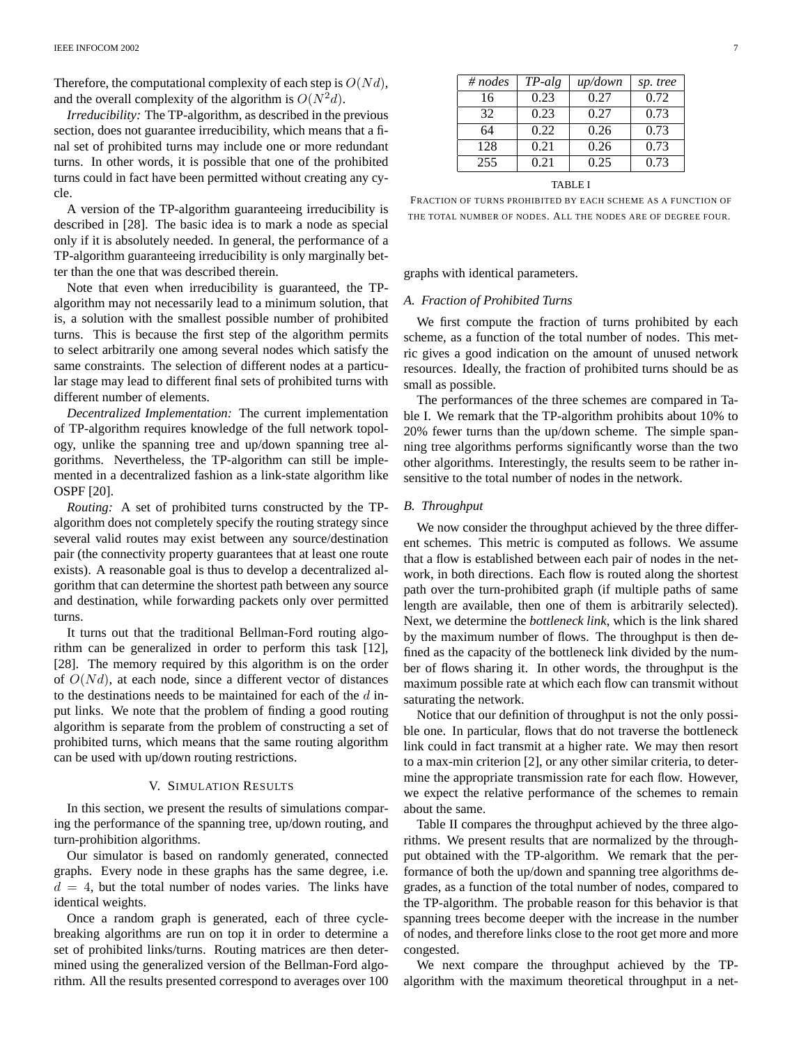Therefore, the computational complexity of each step is  $O(N d)$ , and the overall complexity of the algorithm is  $O(N^2d)$ .

*Irreducibility:* The TP-algorithm, as described in the previous section, does not guarantee irreducibility, which means that a final set of prohibited turns may include one or more redundant turns. In other words, it is possible that one of the prohibited turns could in fact have been permitted without creating any cycle.

A version of the TP-algorithm guaranteeing irreducibility is described in [28]. The basic idea is to mark a node as special only if it is absolutely needed. In general, the performance of a TP-algorithm guaranteeing irreducibility is only marginally better than the one that was described therein.

Note that even when irreducibility is guaranteed, the TPalgorithm may not necessarily lead to a minimum solution, that is, a solution with the smallest possible number of prohibited turns. This is because the first step of the algorithm permits to select arbitrarily one among several nodes which satisfy the same constraints. The selection of different nodes at a particular stage may lead to different final sets of prohibited turns with different number of elements.

*Decentralized Implementation:* The current implementation of TP-algorithm requires knowledge of the full network topology, unlike the spanning tree and up/down spanning tree algorithms. Nevertheless, the TP-algorithm can still be implemented in a decentralized fashion as a link-state algorithm like OSPF [20].

*Routing:* A set of prohibited turns constructed by the TPalgorithm does not completely specify the routing strategy since several valid routes may exist between any source/destination pair (the connectivity property guarantees that at least one route exists). A reasonable goal is thus to develop a decentralized algorithm that can determine the shortest path between any source and destination, while forwarding packets only over permitted turns.

It turns out that the traditional Bellman-Ford routing algorithm can be generalized in order to perform this task [12], [28]. The memory required by this algorithm is on the order of  $O(Nd)$ , at each node, since a different vector of distances to the destinations needs to be maintained for each of the  $d$  input links. We note that the problem of finding a good routing algorithm is separate from the problem of constructing a set of prohibited turns, which means that the same routing algorithm can be used with up/down routing restrictions.

### V. SIMULATION RESULTS

In this section, we present the results of simulations comparing the performance of the spanning tree, up/down routing, and turn-prohibition algorithms.

Our simulator is based on randomly generated, connected graphs. Every node in these graphs has the same degree, i.e.  $d = 4$ , but the total number of nodes varies. The links have identical weights.

Once a random graph is generated, each of three cyclebreaking algorithms are run on top it in order to determine a set of prohibited links/turns. Routing matrices are then determined using the generalized version of the Bellman-Ford algorithm. All the results presented correspond to averages over 100

| # nodes | $TP-alg$ | up/down | sp. tree |
|---------|----------|---------|----------|
| 16      | 0.23     | 0.27    | 0.72     |
| 32      | 0.23     | 0.27    | 0.73     |
| 64      | 0.22     | 0.26    | 0.73     |
| 128     | 0.21     | 0.26    | 0.73     |
| 255     | 0.21     | 0.25    | 0.73     |
|         |          |         |          |

TABLE I

FRACTION OF TURNS PROHIBITED BY EACH SCHEME AS A FUNCTION OF THE TOTAL NUMBER OF NODES. ALL THE NODES ARE OF DEGREE FOUR.

graphs with identical parameters.

### *A. Fraction of Prohibited Turns*

We first compute the fraction of turns prohibited by each scheme, as a function of the total number of nodes. This metric gives a good indication on the amount of unused network resources. Ideally, the fraction of prohibited turns should be as small as possible.

The performances of the three schemes are compared in Table I. We remark that the TP-algorithm prohibits about 10% to 20% fewer turns than the up/down scheme. The simple spanning tree algorithms performs significantly worse than the two other algorithms. Interestingly, the results seem to be rather insensitive to the total number of nodes in the network.

## *B. Throughput*

We now consider the throughput achieved by the three different schemes. This metric is computed as follows. We assume that a flow is established between each pair of nodes in the network, in both directions. Each flow is routed along the shortest path over the turn-prohibited graph (if multiple paths of same length are available, then one of them is arbitrarily selected). Next, we determine the *bottleneck link*, which is the link shared by the maximum number of flows. The throughput is then defined as the capacity of the bottleneck link divided by the number of flows sharing it. In other words, the throughput is the maximum possible rate at which each flow can transmit without saturating the network.

Notice that our definition of throughput is not the only possible one. In particular, flows that do not traverse the bottleneck link could in fact transmit at a higher rate. We may then resort to a max-min criterion [2], or any other similar criteria, to determine the appropriate transmission rate for each flow. However, we expect the relative performance of the schemes to remain about the same.

Table II compares the throughput achieved by the three algorithms. We present results that are normalized by the throughput obtained with the TP-algorithm. We remark that the performance of both the up/down and spanning tree algorithms degrades, as a function of the total number of nodes, compared to the TP-algorithm. The probable reason for this behavior is that spanning trees become deeper with the increase in the number of nodes, and therefore links close to the root get more and more congested.

We next compare the throughput achieved by the TPalgorithm with the maximum theoretical throughput in a net-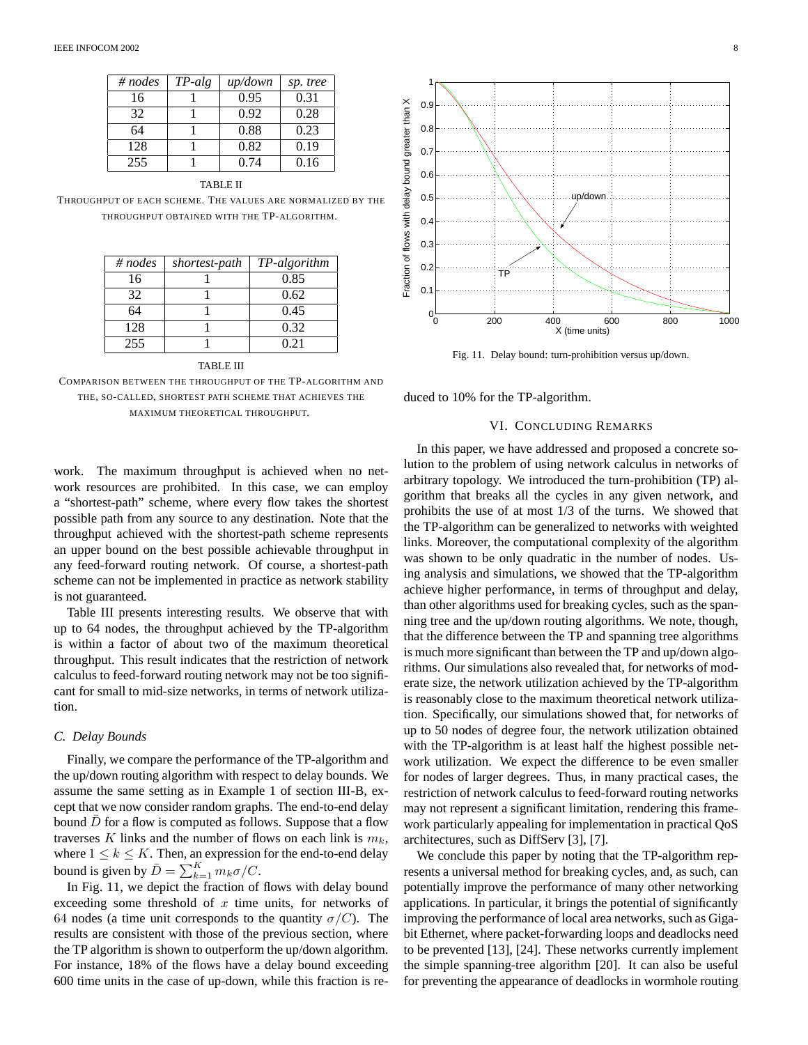| $\#$ nodes | $TP-alg$ | $\mu$ <i>p</i> $\lambda$ <i>down</i> | sp. tree |
|------------|----------|--------------------------------------|----------|
| 16         |          | 0.95                                 | 0.31     |
| 32         |          | 0.92                                 | 0.28     |
| 64         |          | 0.88                                 | 0.23     |
| 128        |          | 0.82                                 | 0.19     |
| 255        |          | 0.74                                 | 0.16     |

TABLE II

THROUGHPUT OF EACH SCHEME. THE VALUES ARE NORMALIZED BY THE THROUGHPUT OBTAINED WITH THE TP-ALGORITHM.

| # nodes | shortest-path | TP-algorithm |
|---------|---------------|--------------|
| 16      |               | 0.85         |
| 32      |               | 0.62         |
| 64      |               | 0.45         |
| 128     |               | 0.32         |
| 255     |               | 0.21         |

TABLE III

COMPARISON BETWEEN THE THROUGHPUT OF THE TP-ALGORITHM AND THE, SO-CALLED, SHORTEST PATH SCHEME THAT ACHIEVES THE MAXIMUM THEORETICAL THROUGHPUT.

work. The maximum throughput is achieved when no network resources are prohibited. In this case, we can employ a "shortest-path" scheme, where every flow takes the shortest possible path from any source to any destination. Note that the throughput achieved with the shortest-path scheme represents an upper bound on the best possible achievable throughput in any feed-forward routing network. Of course, a shortest-path scheme can not be implemented in practice as network stability is not guaranteed.

Table III presents interesting results. We observe that with up to 64 nodes, the throughput achieved by the TP-algorithm is within a factor of about two of the maximum theoretical throughput. This result indicates that the restriction of network calculus to feed-forward routing network may not be too significant for small to mid-size networks, in terms of network utilization.

### *C. Delay Bounds*

Finally, we compare the performance of the TP-algorithm and the up/down routing algorithm with respect to delay bounds. We assume the same setting as in Example 1 of section III-B, except that we now consider random graphs. The end-to-end delay bound  $D$  for a flow is computed as follows. Suppose that a flow traverses K links and the number of flows on each link is  $m_k$ , where  $1 \leq k \leq K$ . Then, an expression for the end-to-end delay bound is given by  $\bar{D} = \sum_{k=1}^{K} m_k \sigma / C$ .

In Fig. 11, we depict the fraction of flows with delay bound exceeding some threshold of  $x$  time units, for networks of 64 nodes (a time unit corresponds to the quantity  $\sigma/C$ ). The results are consistent with those of the previous section, where the TP algorithm is shown to outperform the up/down algorithm. For instance, 18% of the flows have a delay bound exceeding 600 time units in the case of up-down, while this fraction is re-



Fig. 11. Delay bound: turn-prohibition versus up/down.

duced to 10% for the TP-algorithm.

# VI. CONCLUDING REMARKS

In this paper, we have addressed and proposed a concrete solution to the problem of using network calculus in networks of arbitrary topology. We introduced the turn-prohibition (TP) algorithm that breaks all the cycles in any given network, and prohibits the use of at most 1/3 of the turns. We showed that the TP-algorithm can be generalized to networks with weighted links. Moreover, the computational complexity of the algorithm was shown to be only quadratic in the number of nodes. Using analysis and simulations, we showed that the TP-algorithm achieve higher performance, in terms of throughput and delay, than other algorithms used for breaking cycles, such as the spanning tree and the up/down routing algorithms. We note, though, that the difference between the TP and spanning tree algorithms is much more significant than between the TP and up/down algorithms. Our simulations also revealed that, for networks of moderate size, the network utilization achieved by the TP-algorithm is reasonably close to the maximum theoretical network utilization. Specifically, our simulations showed that, for networks of up to 50 nodes of degree four, the network utilization obtained with the TP-algorithm is at least half the highest possible network utilization. We expect the difference to be even smaller for nodes of larger degrees. Thus, in many practical cases, the restriction of network calculus to feed-forward routing networks may not represent a significant limitation, rendering this framework particularly appealing for implementation in practical QoS architectures, such as DiffServ [3], [7].

We conclude this paper by noting that the TP-algorithm represents a universal method for breaking cycles, and, as such, can potentially improve the performance of many other networking applications. In particular, it brings the potential of significantly improving the performance of local area networks, such as Gigabit Ethernet, where packet-forwarding loops and deadlocks need to be prevented [13], [24]. These networks currently implement the simple spanning-tree algorithm [20]. It can also be useful for preventing the appearance of deadlocks in wormhole routing